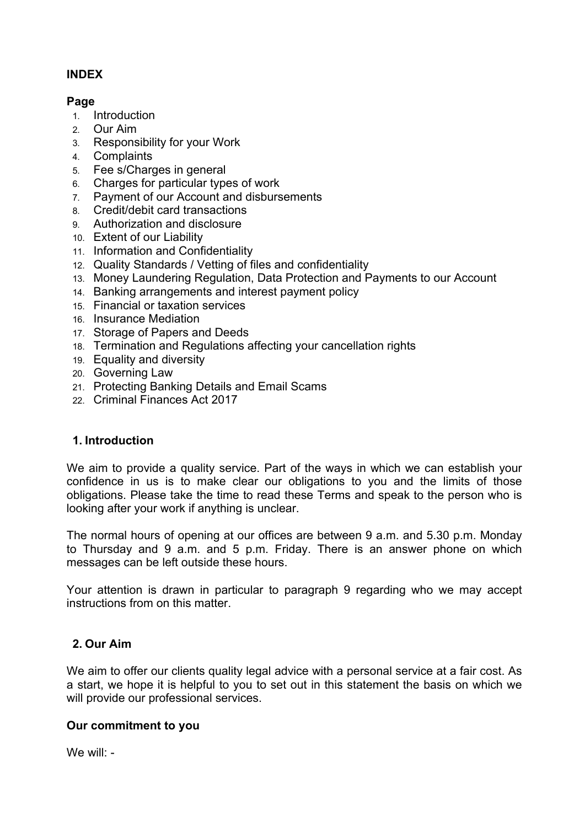# **INDEX**

## **Page**

- 1. Introduction
- 2. Our Aim
- 3. Responsibility for your Work
- 4. Complaints
- 5. Fee s/Charges in general
- 6. Charges for particular types of work
- 7. Payment of our Account and disbursements
- 8. Credit/debit card transactions
- 9. Authorization and disclosure
- 10. Extent of our Liability
- 11. Information and Confidentiality
- 12. Quality Standards / Vetting of files and confidentiality
- 13. Money Laundering Regulation, Data Protection and Payments to our Account
- 14. Banking arrangements and interest payment policy
- 15. Financial or taxation services
- 16. Insurance Mediation
- 17. Storage of Papers and Deeds
- 18. Termination and Regulations affecting your cancellation rights
- 19. Equality and diversity
- 20. Governing Law
- 21. Protecting Banking Details and Email Scams
- 22. Criminal Finances Act 2017

# **1. Introduction**

We aim to provide a quality service. Part of the ways in which we can establish your confidence in us is to make clear our obligations to you and the limits of those obligations. Please take the time to read these Terms and speak to the person who is looking after your work if anything is unclear.

The normal hours of opening at our offices are between 9 a.m. and 5.30 p.m. Monday to Thursday and 9 a.m. and 5 p.m. Friday. There is an answer phone on which messages can be left outside these hours.

Your attention is drawn in particular to paragraph 9 regarding who we may accept instructions from on this matter.

# **2. Our Aim**

We aim to offer our clients quality legal advice with a personal service at a fair cost. As a start, we hope it is helpful to you to set out in this statement the basis on which we will provide our professional services.

# **Our commitment to you**

We will: -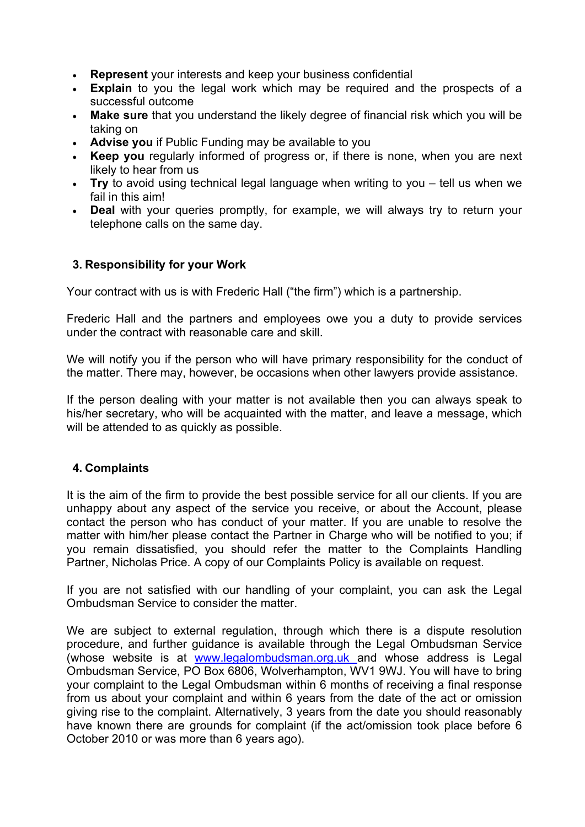- **Represent** your interests and keep your business confidential
- **Explain** to you the legal work which may be required and the prospects of a successful outcome
- **Make sure** that you understand the likely degree of financial risk which you will be taking on
- **Advise you** if Public Funding may be available to you
- **Keep you** regularly informed of progress or, if there is none, when you are next likely to hear from us
- **Try** to avoid using technical legal language when writing to you tell us when we fail in this aim!
- **Deal** with your queries promptly, for example, we will always try to return your telephone calls on the same day.

## **3. Responsibility for your Work**

Your contract with us is with Frederic Hall ("the firm") which is a partnership.

Frederic Hall and the partners and employees owe you a duty to provide services under the contract with reasonable care and skill.

We will notify you if the person who will have primary responsibility for the conduct of the matter. There may, however, be occasions when other lawyers provide assistance.

If the person dealing with your matter is not available then you can always speak to his/her secretary, who will be acquainted with the matter, and leave a message, which will be attended to as quickly as possible.

### **4. Complaints**

It is the aim of the firm to provide the best possible service for all our clients. If you are unhappy about any aspect of the service you receive, or about the Account, please contact the person who has conduct of your matter. If you are unable to resolve the matter with him/her please contact the Partner in Charge who will be notified to you; if you remain dissatisfied, you should refer the matter to the Complaints Handling Partner, Nicholas Price. A copy of our Complaints Policy is available on request.

If you are not satisfied with our handling of your complaint, you can ask the Legal Ombudsman Service to consider the matter.

We are subject to external regulation, through which there is a dispute resolution procedure, and further guidance is available through the Legal Ombudsman Service (whose website is at www.legalombudsman.org.uk and whose address is Legal Ombudsman Service, PO Box 6806, Wolverhampton, WV1 9WJ. You will have to bring your complaint to the Legal Ombudsman within 6 months of receiving a final response from us about your complaint and within 6 years from the date of the act or omission giving rise to the complaint. Alternatively, 3 years from the date you should reasonably have known there are grounds for complaint (if the act/omission took place before 6 October 2010 or was more than 6 years ago).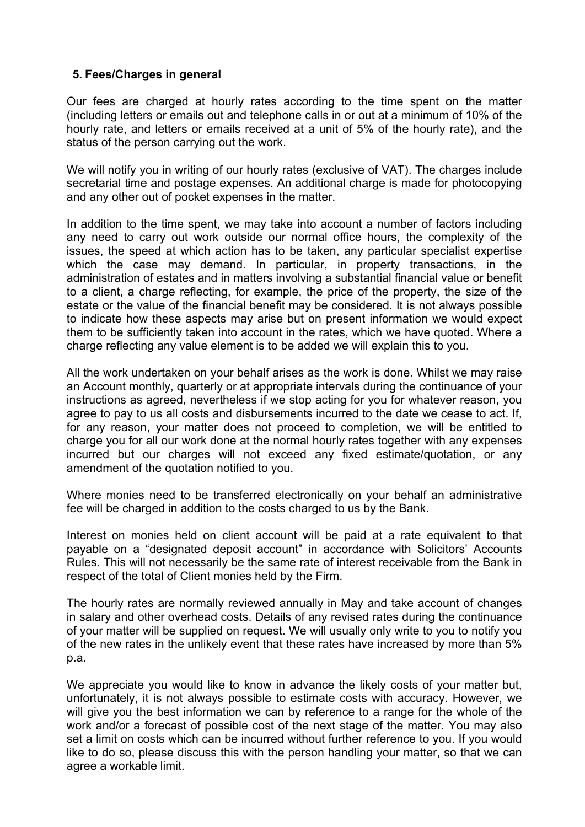## **5. Fees/Charges in general**

Our fees are charged at hourly rates according to the time spent on the matter (including letters or emails out and telephone calls in or out at a minimum of 10% of the hourly rate, and letters or emails received at a unit of 5% of the hourly rate), and the status of the person carrying out the work.

We will notify you in writing of our hourly rates (exclusive of VAT). The charges include secretarial time and postage expenses. An additional charge is made for photocopying and any other out of pocket expenses in the matter.

In addition to the time spent, we may take into account a number of factors including any need to carry out work outside our normal office hours, the complexity of the issues, the speed at which action has to be taken, any particular specialist expertise which the case may demand. In particular, in property transactions, in the administration of estates and in matters involving a substantial financial value or benefit to a client, a charge reflecting, for example, the price of the property, the size of the estate or the value of the financial benefit may be considered. It is not always possible to indicate how these aspects may arise but on present information we would expect them to be sufficiently taken into account in the rates, which we have quoted. Where a charge reflecting any value element is to be added we will explain this to you.

All the work undertaken on your behalf arises as the work is done. Whilst we may raise an Account monthly, quarterly or at appropriate intervals during the continuance of your instructions as agreed, nevertheless if we stop acting for you for whatever reason, you agree to pay to us all costs and disbursements incurred to the date we cease to act. If, for any reason, your matter does not proceed to completion, we will be entitled to charge you for all our work done at the normal hourly rates together with any expenses incurred but our charges will not exceed any fixed estimate/quotation, or any amendment of the quotation notified to you.

Where monies need to be transferred electronically on your behalf an administrative fee will be charged in addition to the costs charged to us by the Bank.

Interest on monies held on client account will be paid at a rate equivalent to that payable on a "designated deposit account" in accordance with Solicitors' Accounts Rules. This will not necessarily be the same rate of interest receivable from the Bank in respect of the total of Client monies held by the Firm.

The hourly rates are normally reviewed annually in May and take account of changes in salary and other overhead costs. Details of any revised rates during the continuance of your matter will be supplied on request. We will usually only write to you to notify you of the new rates in the unlikely event that these rates have increased by more than 5% p.a.

We appreciate you would like to know in advance the likely costs of your matter but, unfortunately, it is not always possible to estimate costs with accuracy. However, we will give you the best information we can by reference to a range for the whole of the work and/or a forecast of possible cost of the next stage of the matter. You may also set a limit on costs which can be incurred without further reference to you. If you would like to do so, please discuss this with the person handling your matter, so that we can agree a workable limit.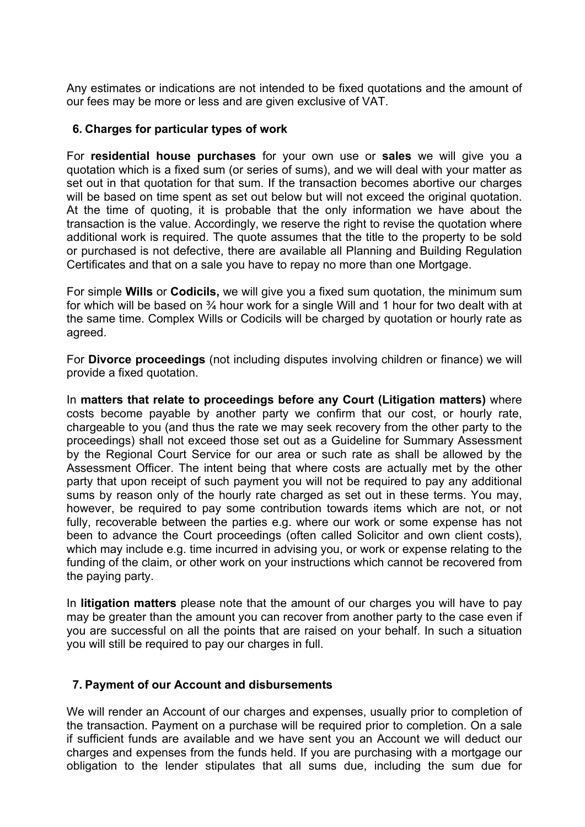Any estimates or indications are not intended to be fixed quotations and the amount of our fees may be more or less and are given exclusive of VAT.

### **6. Charges for particular types of work**

For **residential house purchases** for your own use or **sales** we will give you a quotation which is a fixed sum (or series of sums), and we will deal with your matter as set out in that quotation for that sum. If the transaction becomes abortive our charges will be based on time spent as set out below but will not exceed the original quotation. At the time of quoting, it is probable that the only information we have about the transaction is the value. Accordingly, we reserve the right to revise the quotation where additional work is required. The quote assumes that the title to the property to be sold or purchased is not defective, there are available all Planning and Building Regulation Certificates and that on a sale you have to repay no more than one Mortgage.

For simple **Wills** or **Codicils,** we will give you a fixed sum quotation, the minimum sum for which will be based on 34 hour work for a single Will and 1 hour for two dealt with at the same time. Complex Wills or Codicils will be charged by quotation or hourly rate as agreed.

For **Divorce proceedings** (not including disputes involving children or finance) we will provide a fixed quotation.

In **matters that relate to proceedings before any Court (Litigation matters)** where costs become payable by another party we confirm that our cost, or hourly rate, chargeable to you (and thus the rate we may seek recovery from the other party to the proceedings) shall not exceed those set out as a Guideline for Summary Assessment by the Regional Court Service for our area or such rate as shall be allowed by the Assessment Officer. The intent being that where costs are actually met by the other party that upon receipt of such payment you will not be required to pay any additional sums by reason only of the hourly rate charged as set out in these terms. You may, however, be required to pay some contribution towards items which are not, or not fully, recoverable between the parties e.g. where our work or some expense has not been to advance the Court proceedings (often called Solicitor and own client costs), which may include e.g. time incurred in advising you, or work or expense relating to the funding of the claim, or other work on your instructions which cannot be recovered from the paying party.

In **litigation matters** please note that the amount of our charges you will have to pay may be greater than the amount you can recover from another party to the case even if you are successful on all the points that are raised on your behalf. In such a situation you will still be required to pay our charges in full.

### **7. Payment of our Account and disbursements**

We will render an Account of our charges and expenses, usually prior to completion of the transaction. Payment on a purchase will be required prior to completion. On a sale if sufficient funds are available and we have sent you an Account we will deduct our charges and expenses from the funds held. If you are purchasing with a mortgage our obligation to the lender stipulates that all sums due, including the sum due for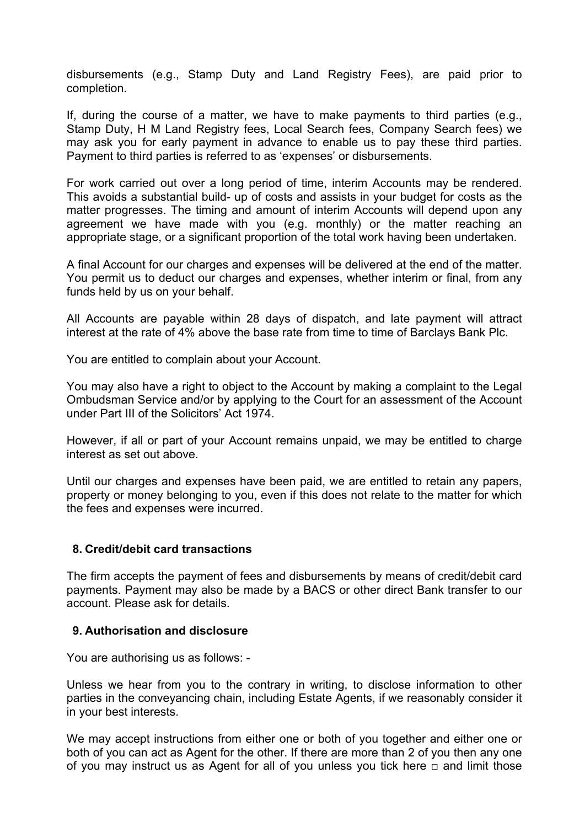disbursements (e.g., Stamp Duty and Land Registry Fees), are paid prior to completion.

If, during the course of a matter, we have to make payments to third parties (e.g., Stamp Duty, H M Land Registry fees, Local Search fees, Company Search fees) we may ask you for early payment in advance to enable us to pay these third parties. Payment to third parties is referred to as 'expenses' or disbursements.

For work carried out over a long period of time, interim Accounts may be rendered. This avoids a substantial build- up of costs and assists in your budget for costs as the matter progresses. The timing and amount of interim Accounts will depend upon any agreement we have made with you (e.g. monthly) or the matter reaching an appropriate stage, or a significant proportion of the total work having been undertaken.

A final Account for our charges and expenses will be delivered at the end of the matter. You permit us to deduct our charges and expenses, whether interim or final, from any funds held by us on your behalf.

All Accounts are payable within 28 days of dispatch, and late payment will attract interest at the rate of 4% above the base rate from time to time of Barclays Bank Plc.

You are entitled to complain about your Account.

You may also have a right to object to the Account by making a complaint to the Legal Ombudsman Service and/or by applying to the Court for an assessment of the Account under Part III of the Solicitors' Act 1974.

However, if all or part of your Account remains unpaid, we may be entitled to charge interest as set out above.

Until our charges and expenses have been paid, we are entitled to retain any papers, property or money belonging to you, even if this does not relate to the matter for which the fees and expenses were incurred.

### **8. Credit/debit card transactions**

The firm accepts the payment of fees and disbursements by means of credit/debit card payments. Payment may also be made by a BACS or other direct Bank transfer to our account. Please ask for details.

### **9. Authorisation and disclosure**

You are authorising us as follows: -

Unless we hear from you to the contrary in writing, to disclose information to other parties in the conveyancing chain, including Estate Agents, if we reasonably consider it in your best interests.

We may accept instructions from either one or both of you together and either one or both of you can act as Agent for the other. If there are more than 2 of you then any one of you may instruct us as Agent for all of you unless you tick here  $\Box$  and limit those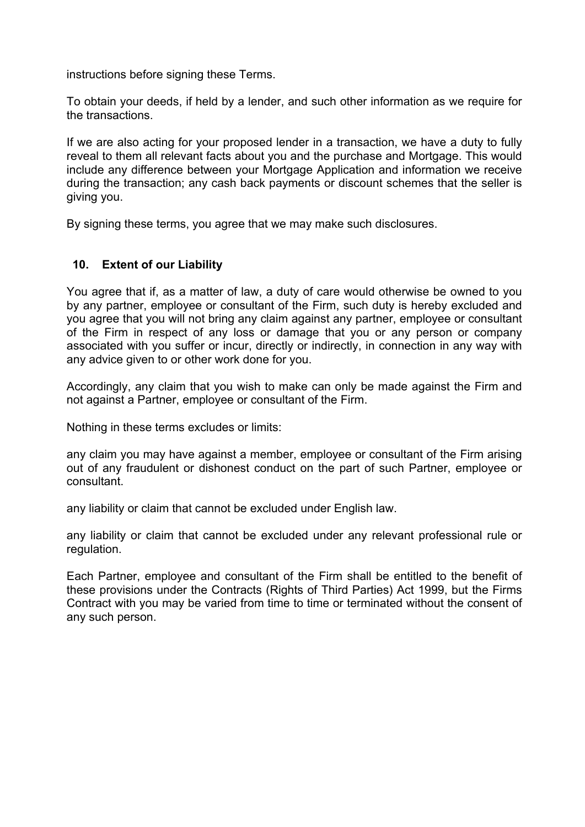instructions before signing these Terms.

To obtain your deeds, if held by a lender, and such other information as we require for the transactions.

If we are also acting for your proposed lender in a transaction, we have a duty to fully reveal to them all relevant facts about you and the purchase and Mortgage. This would include any difference between your Mortgage Application and information we receive during the transaction; any cash back payments or discount schemes that the seller is giving you.

By signing these terms, you agree that we may make such disclosures.

## **10. Extent of our Liability**

You agree that if, as a matter of law, a duty of care would otherwise be owned to you by any partner, employee or consultant of the Firm, such duty is hereby excluded and you agree that you will not bring any claim against any partner, employee or consultant of the Firm in respect of any loss or damage that you or any person or company associated with you suffer or incur, directly or indirectly, in connection in any way with any advice given to or other work done for you.

Accordingly, any claim that you wish to make can only be made against the Firm and not against a Partner, employee or consultant of the Firm.

Nothing in these terms excludes or limits:

any claim you may have against a member, employee or consultant of the Firm arising out of any fraudulent or dishonest conduct on the part of such Partner, employee or consultant.

any liability or claim that cannot be excluded under English law.

any liability or claim that cannot be excluded under any relevant professional rule or regulation.

Each Partner, employee and consultant of the Firm shall be entitled to the benefit of these provisions under the Contracts (Rights of Third Parties) Act 1999, but the Firms Contract with you may be varied from time to time or terminated without the consent of any such person.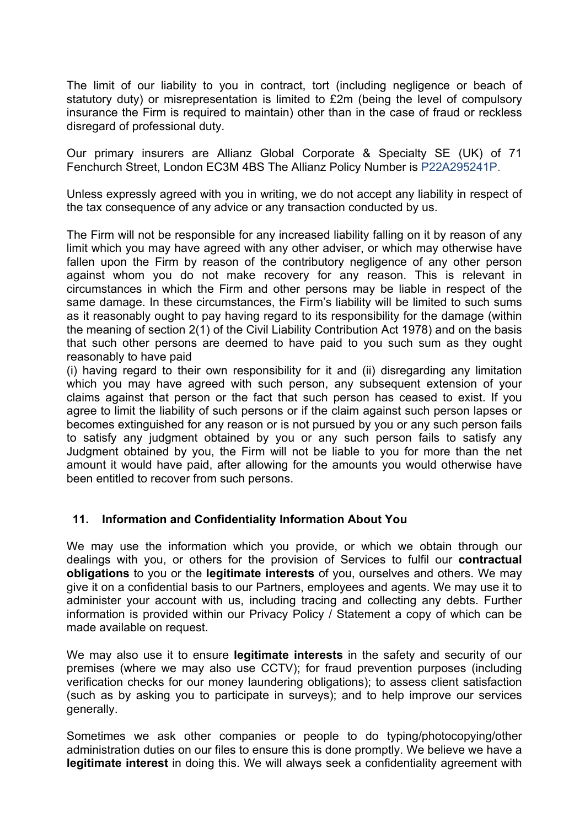The limit of our liability to you in contract, tort (including negligence or beach of statutory duty) or misrepresentation is limited to £2m (being the level of compulsory insurance the Firm is required to maintain) other than in the case of fraud or reckless disregard of professional duty.

Our primary insurers are Allianz Global Corporate & Specialty SE (UK) of 71 Fenchurch Street, London EC3M 4BS The Allianz Policy Number is P22A295241P.

Unless expressly agreed with you in writing, we do not accept any liability in respect of the tax consequence of any advice or any transaction conducted by us.

The Firm will not be responsible for any increased liability falling on it by reason of any limit which you may have agreed with any other adviser, or which may otherwise have fallen upon the Firm by reason of the contributory negligence of any other person against whom you do not make recovery for any reason. This is relevant in circumstances in which the Firm and other persons may be liable in respect of the same damage. In these circumstances, the Firm's liability will be limited to such sums as it reasonably ought to pay having regard to its responsibility for the damage (within the meaning of section 2(1) of the Civil Liability Contribution Act 1978) and on the basis that such other persons are deemed to have paid to you such sum as they ought reasonably to have paid

(i) having regard to their own responsibility for it and (ii) disregarding any limitation which you may have agreed with such person, any subsequent extension of your claims against that person or the fact that such person has ceased to exist. If you agree to limit the liability of such persons or if the claim against such person lapses or becomes extinguished for any reason or is not pursued by you or any such person fails to satisfy any judgment obtained by you or any such person fails to satisfy any Judgment obtained by you, the Firm will not be liable to you for more than the net amount it would have paid, after allowing for the amounts you would otherwise have been entitled to recover from such persons.

### **11. Information and Confidentiality Information About You**

We may use the information which you provide, or which we obtain through our dealings with you, or others for the provision of Services to fulfil our **contractual obligations** to you or the **legitimate interests** of you, ourselves and others. We may give it on a confidential basis to our Partners, employees and agents. We may use it to administer your account with us, including tracing and collecting any debts. Further information is provided within our Privacy Policy / Statement a copy of which can be made available on request.

We may also use it to ensure **legitimate interests** in the safety and security of our premises (where we may also use CCTV); for fraud prevention purposes (including verification checks for our money laundering obligations); to assess client satisfaction (such as by asking you to participate in surveys); and to help improve our services generally.

Sometimes we ask other companies or people to do typing/photocopying/other administration duties on our files to ensure this is done promptly. We believe we have a **legitimate interest** in doing this. We will always seek a confidentiality agreement with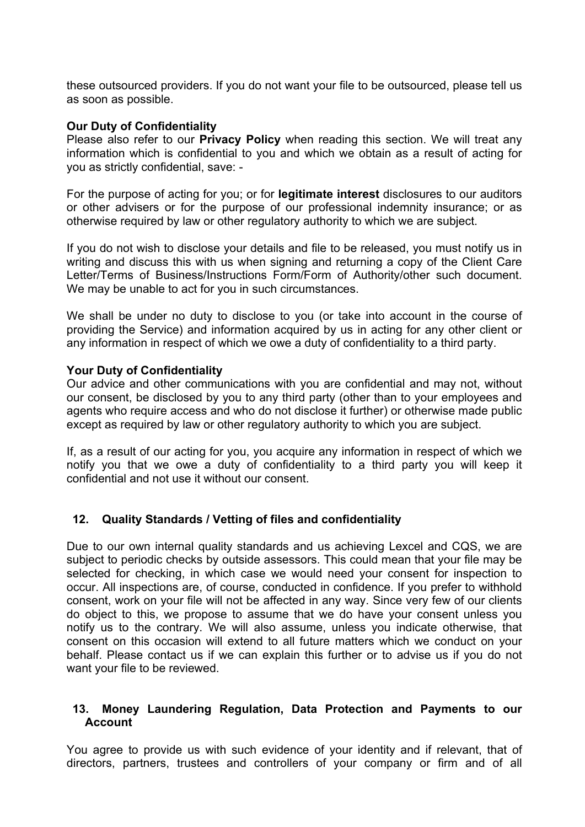these outsourced providers. If you do not want your file to be outsourced, please tell us as soon as possible.

#### **Our Duty of Confidentiality**

Please also refer to our **Privacy Policy** when reading this section. We will treat any information which is confidential to you and which we obtain as a result of acting for you as strictly confidential, save: -

For the purpose of acting for you; or for **legitimate interest** disclosures to our auditors or other advisers or for the purpose of our professional indemnity insurance; or as otherwise required by law or other regulatory authority to which we are subject.

If you do not wish to disclose your details and file to be released, you must notify us in writing and discuss this with us when signing and returning a copy of the Client Care Letter/Terms of Business/Instructions Form/Form of Authority/other such document. We may be unable to act for you in such circumstances.

We shall be under no duty to disclose to you (or take into account in the course of providing the Service) and information acquired by us in acting for any other client or any information in respect of which we owe a duty of confidentiality to a third party.

### **Your Duty of Confidentiality**

Our advice and other communications with you are confidential and may not, without our consent, be disclosed by you to any third party (other than to your employees and agents who require access and who do not disclose it further) or otherwise made public except as required by law or other regulatory authority to which you are subject.

If, as a result of our acting for you, you acquire any information in respect of which we notify you that we owe a duty of confidentiality to a third party you will keep it confidential and not use it without our consent.

### **12. Quality Standards / Vetting of files and confidentiality**

Due to our own internal quality standards and us achieving Lexcel and CQS, we are subject to periodic checks by outside assessors. This could mean that your file may be selected for checking, in which case we would need your consent for inspection to occur. All inspections are, of course, conducted in confidence. If you prefer to withhold consent, work on your file will not be affected in any way. Since very few of our clients do object to this, we propose to assume that we do have your consent unless you notify us to the contrary. We will also assume, unless you indicate otherwise, that consent on this occasion will extend to all future matters which we conduct on your behalf. Please contact us if we can explain this further or to advise us if you do not want your file to be reviewed.

#### **13. Money Laundering Regulation, Data Protection and Payments to our Account**

You agree to provide us with such evidence of your identity and if relevant, that of directors, partners, trustees and controllers of your company or firm and of all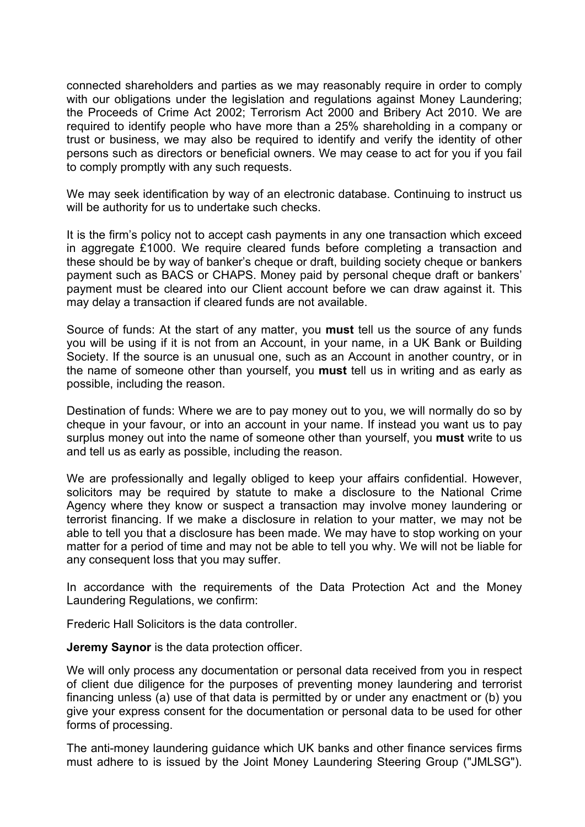connected shareholders and parties as we may reasonably require in order to comply with our obligations under the legislation and regulations against Money Laundering; the Proceeds of Crime Act 2002; Terrorism Act 2000 and Bribery Act 2010. We are required to identify people who have more than a 25% shareholding in a company or trust or business, we may also be required to identify and verify the identity of other persons such as directors or beneficial owners. We may cease to act for you if you fail to comply promptly with any such requests.

We may seek identification by way of an electronic database. Continuing to instruct us will be authority for us to undertake such checks.

It is the firm's policy not to accept cash payments in any one transaction which exceed in aggregate £1000. We require cleared funds before completing a transaction and these should be by way of banker's cheque or draft, building society cheque or bankers payment such as BACS or CHAPS. Money paid by personal cheque draft or bankers' payment must be cleared into our Client account before we can draw against it. This may delay a transaction if cleared funds are not available.

Source of funds: At the start of any matter, you **must** tell us the source of any funds you will be using if it is not from an Account, in your name, in a UK Bank or Building Society. If the source is an unusual one, such as an Account in another country, or in the name of someone other than yourself, you **must** tell us in writing and as early as possible, including the reason.

Destination of funds: Where we are to pay money out to you, we will normally do so by cheque in your favour, or into an account in your name. If instead you want us to pay surplus money out into the name of someone other than yourself, you **must** write to us and tell us as early as possible, including the reason.

We are professionally and legally obliged to keep your affairs confidential. However, solicitors may be required by statute to make a disclosure to the National Crime Agency where they know or suspect a transaction may involve money laundering or terrorist financing. If we make a disclosure in relation to your matter, we may not be able to tell you that a disclosure has been made. We may have to stop working on your matter for a period of time and may not be able to tell you why. We will not be liable for any consequent loss that you may suffer.

In accordance with the requirements of the Data Protection Act and the Money Laundering Regulations, we confirm:

Frederic Hall Solicitors is the data controller.

**Jeremy Saynor** is the data protection officer.

We will only process any documentation or personal data received from you in respect of client due diligence for the purposes of preventing money laundering and terrorist financing unless (a) use of that data is permitted by or under any enactment or (b) you give your express consent for the documentation or personal data to be used for other forms of processing.

The anti-money laundering guidance which UK banks and other finance services firms must adhere to is issued by the Joint Money Laundering Steering Group ("JMLSG").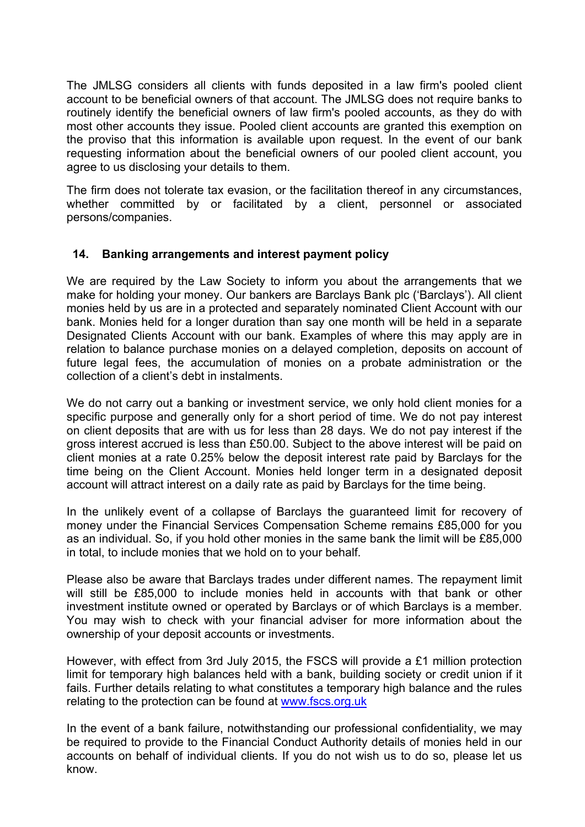The JMLSG considers all clients with funds deposited in a law firm's pooled client account to be beneficial owners of that account. The JMLSG does not require banks to routinely identify the beneficial owners of law firm's pooled accounts, as they do with most other accounts they issue. Pooled client accounts are granted this exemption on the proviso that this information is available upon request. In the event of our bank requesting information about the beneficial owners of our pooled client account, you agree to us disclosing your details to them.

The firm does not tolerate tax evasion, or the facilitation thereof in any circumstances, whether committed by or facilitated by a client, personnel or associated persons/companies.

## **14. Banking arrangements and interest payment policy**

We are required by the Law Society to inform you about the arrangements that we make for holding your money. Our bankers are Barclays Bank plc ('Barclays'). All client monies held by us are in a protected and separately nominated Client Account with our bank. Monies held for a longer duration than say one month will be held in a separate Designated Clients Account with our bank. Examples of where this may apply are in relation to balance purchase monies on a delayed completion, deposits on account of future legal fees, the accumulation of monies on a probate administration or the collection of a client's debt in instalments.

We do not carry out a banking or investment service, we only hold client monies for a specific purpose and generally only for a short period of time. We do not pay interest on client deposits that are with us for less than 28 days. We do not pay interest if the gross interest accrued is less than £50.00. Subject to the above interest will be paid on client monies at a rate 0.25% below the deposit interest rate paid by Barclays for the time being on the Client Account. Monies held longer term in a designated deposit account will attract interest on a daily rate as paid by Barclays for the time being.

In the unlikely event of a collapse of Barclays the guaranteed limit for recovery of money under the Financial Services Compensation Scheme remains £85,000 for you as an individual. So, if you hold other monies in the same bank the limit will be £85,000 in total, to include monies that we hold on to your behalf.

Please also be aware that Barclays trades under different names. The repayment limit will still be £85,000 to include monies held in accounts with that bank or other investment institute owned or operated by Barclays or of which Barclays is a member. You may wish to check with your financial adviser for more information about the ownership of your deposit accounts or investments.

However, with effect from 3rd July 2015, the FSCS will provide a £1 million protection limit for temporary high balances held with a bank, building society or credit union if it fails. Further details relating to what constitutes a temporary high balance and the rules relating to the protection can be found at www.fscs.org.uk

In the event of a bank failure, notwithstanding our professional confidentiality, we may be required to provide to the Financial Conduct Authority details of monies held in our accounts on behalf of individual clients. If you do not wish us to do so, please let us know.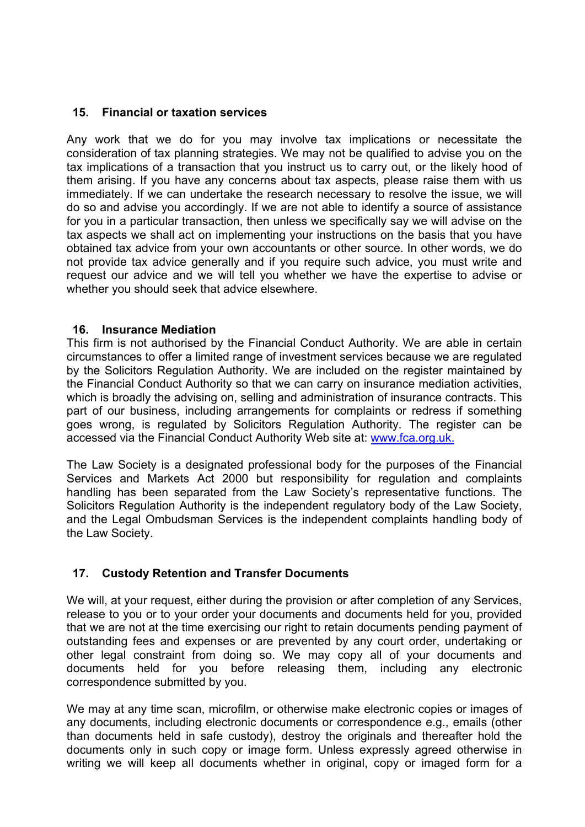## **15. Financial or taxation services**

Any work that we do for you may involve tax implications or necessitate the consideration of tax planning strategies. We may not be qualified to advise you on the tax implications of a transaction that you instruct us to carry out, or the likely hood of them arising. If you have any concerns about tax aspects, please raise them with us immediately. If we can undertake the research necessary to resolve the issue, we will do so and advise you accordingly. If we are not able to identify a source of assistance for you in a particular transaction, then unless we specifically say we will advise on the tax aspects we shall act on implementing your instructions on the basis that you have obtained tax advice from your own accountants or other source. In other words, we do not provide tax advice generally and if you require such advice, you must write and request our advice and we will tell you whether we have the expertise to advise or whether you should seek that advice elsewhere.

### **16. Insurance Mediation**

This firm is not authorised by the Financial Conduct Authority. We are able in certain circumstances to offer a limited range of investment services because we are regulated by the Solicitors Regulation Authority. We are included on the register maintained by the Financial Conduct Authority so that we can carry on insurance mediation activities, which is broadly the advising on, selling and administration of insurance contracts. This part of our business, including arrangements for complaints or redress if something goes wrong, is regulated by Solicitors Regulation Authority. The register can be accessed via the Financial Conduct Authority Web site at: www.fca.org.uk.

The Law Society is a designated professional body for the purposes of the Financial Services and Markets Act 2000 but responsibility for regulation and complaints handling has been separated from the Law Society's representative functions. The Solicitors Regulation Authority is the independent regulatory body of the Law Society, and the Legal Ombudsman Services is the independent complaints handling body of the Law Society.

# **17. Custody Retention and Transfer Documents**

We will, at your request, either during the provision or after completion of any Services, release to you or to your order your documents and documents held for you, provided that we are not at the time exercising our right to retain documents pending payment of outstanding fees and expenses or are prevented by any court order, undertaking or other legal constraint from doing so. We may copy all of your documents and documents held for you before releasing them, including any electronic correspondence submitted by you.

We may at any time scan, microfilm, or otherwise make electronic copies or images of any documents, including electronic documents or correspondence e.g., emails (other than documents held in safe custody), destroy the originals and thereafter hold the documents only in such copy or image form. Unless expressly agreed otherwise in writing we will keep all documents whether in original, copy or imaged form for a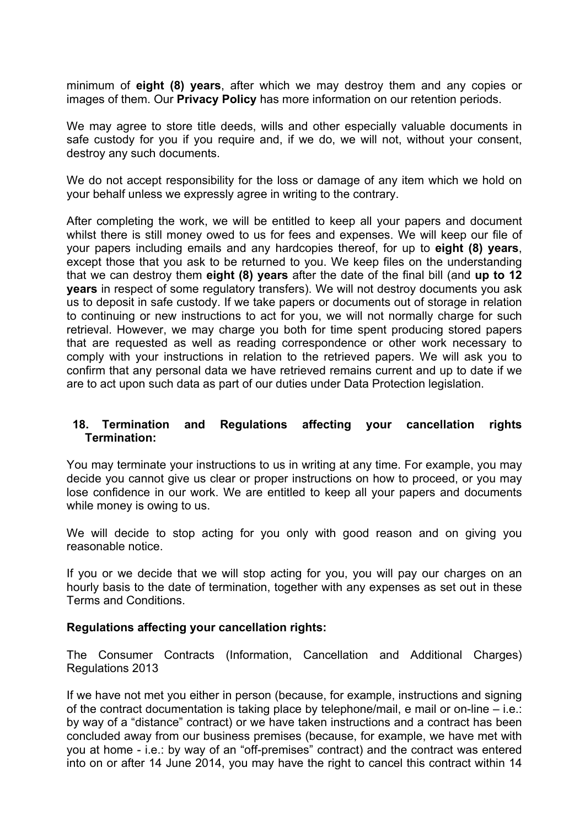minimum of **eight (8) years**, after which we may destroy them and any copies or images of them. Our **Privacy Policy** has more information on our retention periods.

We may agree to store title deeds, wills and other especially valuable documents in safe custody for you if you require and, if we do, we will not, without your consent, destroy any such documents.

We do not accept responsibility for the loss or damage of any item which we hold on your behalf unless we expressly agree in writing to the contrary.

After completing the work, we will be entitled to keep all your papers and document whilst there is still money owed to us for fees and expenses. We will keep our file of your papers including emails and any hardcopies thereof, for up to **eight (8) years**, except those that you ask to be returned to you. We keep files on the understanding that we can destroy them **eight (8) years** after the date of the final bill (and **up to 12 years** in respect of some regulatory transfers). We will not destroy documents you ask us to deposit in safe custody. If we take papers or documents out of storage in relation to continuing or new instructions to act for you, we will not normally charge for such retrieval. However, we may charge you both for time spent producing stored papers that are requested as well as reading correspondence or other work necessary to comply with your instructions in relation to the retrieved papers. We will ask you to confirm that any personal data we have retrieved remains current and up to date if we are to act upon such data as part of our duties under Data Protection legislation.

#### **18. Termination and Regulations affecting your cancellation rights Termination:**

You may terminate your instructions to us in writing at any time. For example, you may decide you cannot give us clear or proper instructions on how to proceed, or you may lose confidence in our work. We are entitled to keep all your papers and documents while money is owing to us.

We will decide to stop acting for you only with good reason and on giving you reasonable notice.

If you or we decide that we will stop acting for you, you will pay our charges on an hourly basis to the date of termination, together with any expenses as set out in these Terms and Conditions.

#### **Regulations affecting your cancellation rights:**

The Consumer Contracts (Information, Cancellation and Additional Charges) Regulations 2013

If we have not met you either in person (because, for example, instructions and signing of the contract documentation is taking place by telephone/mail, e mail or on-line – i.e.: by way of a "distance" contract) or we have taken instructions and a contract has been concluded away from our business premises (because, for example, we have met with you at home - i.e.: by way of an "off-premises" contract) and the contract was entered into on or after 14 June 2014, you may have the right to cancel this contract within 14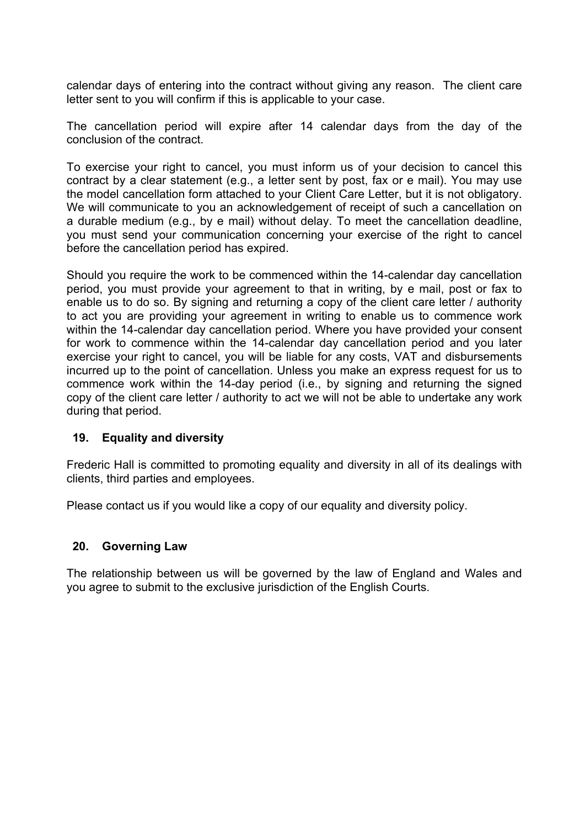calendar days of entering into the contract without giving any reason. The client care letter sent to you will confirm if this is applicable to your case.

The cancellation period will expire after 14 calendar days from the day of the conclusion of the contract.

To exercise your right to cancel, you must inform us of your decision to cancel this contract by a clear statement (e.g., a letter sent by post, fax or e mail). You may use the model cancellation form attached to your Client Care Letter, but it is not obligatory. We will communicate to you an acknowledgement of receipt of such a cancellation on a durable medium (e.g., by e mail) without delay. To meet the cancellation deadline, you must send your communication concerning your exercise of the right to cancel before the cancellation period has expired.

Should you require the work to be commenced within the 14-calendar day cancellation period, you must provide your agreement to that in writing, by e mail, post or fax to enable us to do so. By signing and returning a copy of the client care letter / authority to act you are providing your agreement in writing to enable us to commence work within the 14-calendar day cancellation period. Where you have provided your consent for work to commence within the 14-calendar day cancellation period and you later exercise your right to cancel, you will be liable for any costs, VAT and disbursements incurred up to the point of cancellation. Unless you make an express request for us to commence work within the 14-day period (i.e., by signing and returning the signed copy of the client care letter / authority to act we will not be able to undertake any work during that period.

### **19. Equality and diversity**

Frederic Hall is committed to promoting equality and diversity in all of its dealings with clients, third parties and employees.

Please contact us if you would like a copy of our equality and diversity policy.

#### **20. Governing Law**

The relationship between us will be governed by the law of England and Wales and you agree to submit to the exclusive jurisdiction of the English Courts.